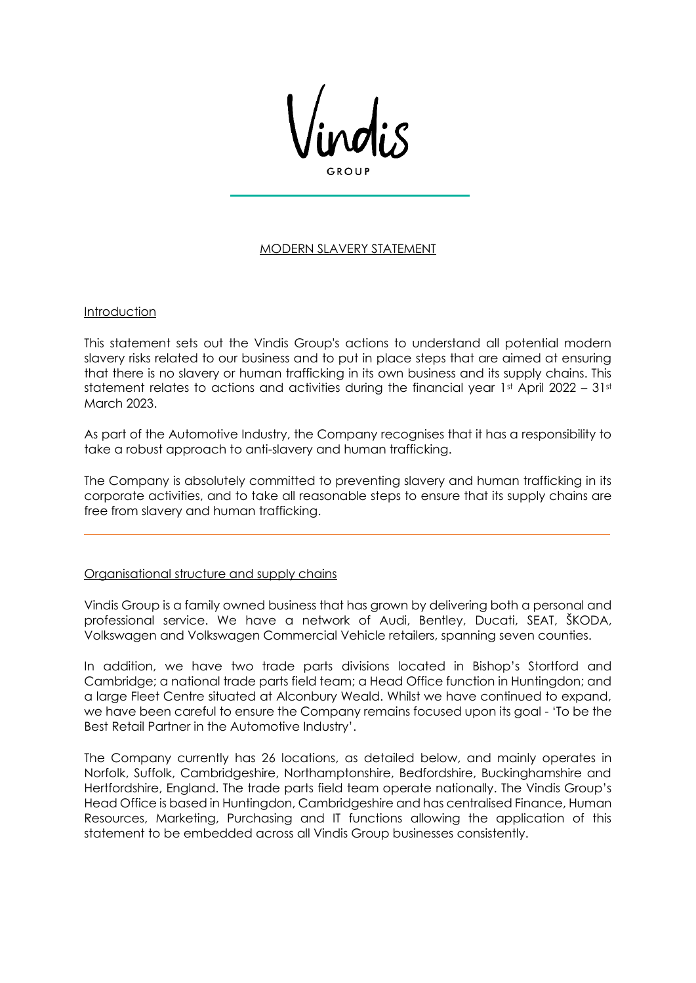## MODERN SLAVERY STATEMENT

### **Introduction**

This statement sets out the Vindis Group's actions to understand all potential modern slavery risks related to our business and to put in place steps that are aimed at ensuring that there is no slavery or human trafficking in its own business and its supply chains. This statement relates to actions and activities during the financial year  $1st$  April 2022 –  $31st$ March 2023.

As part of the Automotive Industry, the Company recognises that it has a responsibility to take a robust approach to anti-slavery and human trafficking.

The Company is absolutely committed to preventing slavery and human trafficking in its corporate activities, and to take all reasonable steps to ensure that its supply chains are free from slavery and human trafficking.

### Organisational structure and supply chains

Vindis Group is a family owned business that has grown by delivering both a personal and professional service. We have a network of Audi, Bentley, Ducati, SEAT, ŠKODA, Volkswagen and Volkswagen Commercial Vehicle retailers, spanning seven counties.

In addition, we have two trade parts divisions located in Bishop's Stortford and Cambridge; a national trade parts field team; a Head Office function in Huntingdon; and a large Fleet Centre situated at Alconbury Weald. Whilst we have continued to expand, we have been careful to ensure the Company remains focused upon its goal - 'To be the Best Retail Partner in the Automotive Industry'.

The Company currently has 26 locations, as detailed below, and mainly operates in Norfolk, Suffolk, Cambridgeshire, Northamptonshire, Bedfordshire, Buckinghamshire and Hertfordshire, England. The trade parts field team operate nationally. The Vindis Group's Head Office is based in Huntingdon, Cambridgeshire and has centralised Finance, Human Resources, Marketing, Purchasing and IT functions allowing the application of this statement to be embedded across all Vindis Group businesses consistently.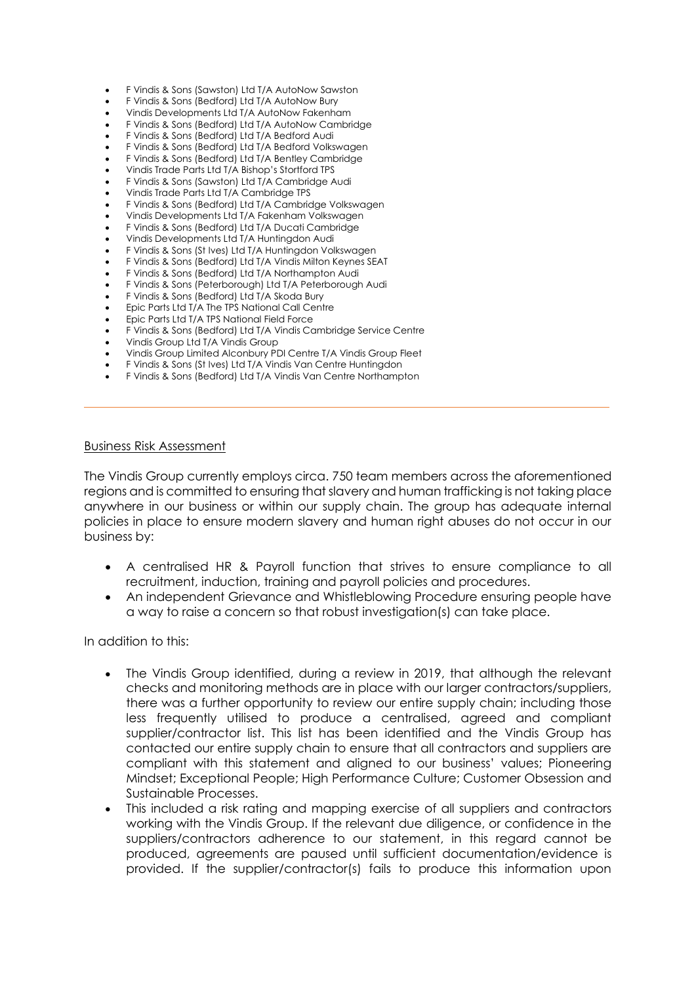- F Vindis & Sons (Sawston) Ltd T/A AutoNow Sawston
- F Vindis & Sons (Bedford) Ltd T/A AutoNow Bury
- Vindis Developments Ltd T/A AutoNow Fakenham
- F Vindis & Sons (Bedford) Ltd T/A AutoNow Cambridge
- F Vindis & Sons (Bedford) Ltd T/A Bedford Audi
- F Vindis & Sons (Bedford) Ltd T/A Bedford Volkswagen
- F Vindis & Sons (Bedford) Ltd T/A Bentley Cambridge
- Vindis Trade Parts Ltd T/A Bishop's Stortford TPS • F Vindis & Sons (Sawston) Ltd T/A Cambridge Audi
- Vindis Trade Parts Ltd T/A Cambridge TPS
- F Vindis & Sons (Bedford) Ltd T/A Cambridge Volkswagen
- Vindis Developments Ltd T/A Fakenham Volkswagen
- F Vindis & Sons (Bedford) Ltd T/A Ducati Cambridge
- Vindis Developments Ltd T/A Huntingdon Audi
- F Vindis & Sons (St Ives) Ltd T/A Huntingdon Volkswagen
- F Vindis & Sons (Bedford) Ltd T/A Vindis Milton Keynes SEAT
- F Vindis & Sons (Bedford) Ltd T/A Northampton Audi
- F Vindis & Sons (Peterborough) Ltd T/A Peterborough Audi
- F Vindis & Sons (Bedford) Ltd T/A Skoda Bury
- Epic Parts Ltd T/A The TPS National Call Centre
- Epic Parts Ltd T/A TPS National Field Force
- F Vindis & Sons (Bedford) Ltd T/A Vindis Cambridge Service Centre
- Vindis Group Ltd T/A Vindis Group
- Vindis Group Limited Alconbury PDI Centre T/A Vindis Group Fleet
- F Vindis & Sons (St Ives) Ltd T/A Vindis Van Centre Huntingdon
- F Vindis & Sons (Bedford) Ltd T/A Vindis Van Centre Northampton

#### Business Risk Assessment

The Vindis Group currently employs circa. 750 team members across the aforementioned regions and is committed to ensuring that slavery and human trafficking is not taking place anywhere in our business or within our supply chain. The group has adequate internal policies in place to ensure modern slavery and human right abuses do not occur in our business by:

- A centralised HR & Payroll function that strives to ensure compliance to all recruitment, induction, training and payroll policies and procedures.
- An independent Grievance and Whistleblowing Procedure ensuring people have a way to raise a concern so that robust investigation(s) can take place.

In addition to this:

- The Vindis Group identified, during a review in 2019, that although the relevant checks and monitoring methods are in place with our larger contractors/suppliers, there was a further opportunity to review our entire supply chain; including those less frequently utilised to produce a centralised, agreed and compliant supplier/contractor list. This list has been identified and the Vindis Group has contacted our entire supply chain to ensure that all contractors and suppliers are compliant with this statement and aligned to our business' values; Pioneering Mindset; Exceptional People; High Performance Culture; Customer Obsession and Sustainable Processes.
- This included a risk rating and mapping exercise of all suppliers and contractors working with the Vindis Group. If the relevant due diligence, or confidence in the suppliers/contractors adherence to our statement, in this regard cannot be produced, agreements are paused until sufficient documentation/evidence is provided. If the supplier/contractor(s) fails to produce this information upon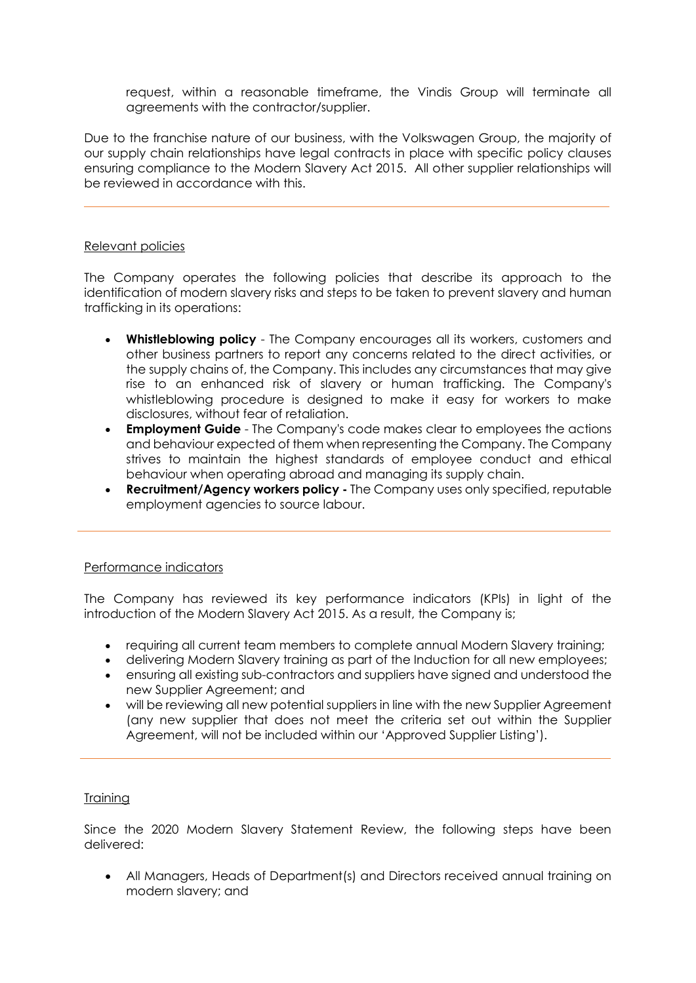request, within a reasonable timeframe, the Vindis Group will terminate all agreements with the contractor/supplier.

Due to the franchise nature of our business, with the Volkswagen Group, the majority of our supply chain relationships have legal contracts in place with specific policy clauses ensuring compliance to the Modern Slavery Act 2015. All other supplier relationships will be reviewed in accordance with this.

## Relevant policies

The Company operates the following policies that describe its approach to the identification of modern slavery risks and steps to be taken to prevent slavery and human trafficking in its operations:

- **Whistleblowing policy** The Company encourages all its workers, customers and other business partners to report any concerns related to the direct activities, or the supply chains of, the Company. This includes any circumstances that may give rise to an enhanced risk of slavery or human trafficking. The Company's whistleblowing procedure is designed to make it easy for workers to make disclosures, without fear of retaliation.
- **Employment Guide**  The Company's code makes clear to employees the actions and behaviour expected of them when representing the Company. The Company strives to maintain the highest standards of employee conduct and ethical behaviour when operating abroad and managing its supply chain.
- **Recruitment/Agency workers policy -** The Company uses only specified, reputable employment agencies to source labour.

### Performance indicators

The Company has reviewed its key performance indicators (KPIs) in light of the introduction of the Modern Slavery Act 2015. As a result, the Company is;

- requiring all current team members to complete annual Modern Slavery training;
- delivering Modern Slavery training as part of the Induction for all new employees;
- ensuring all existing sub-contractors and suppliers have signed and understood the new Supplier Agreement; and
- will be reviewing all new potential suppliers in line with the new Supplier Agreement (any new supplier that does not meet the criteria set out within the Supplier Agreement, will not be included within our 'Approved Supplier Listing').

# Training

Since the 2020 Modern Slavery Statement Review, the following steps have been delivered:

• All Managers, Heads of Department(s) and Directors received annual training on modern slavery; and